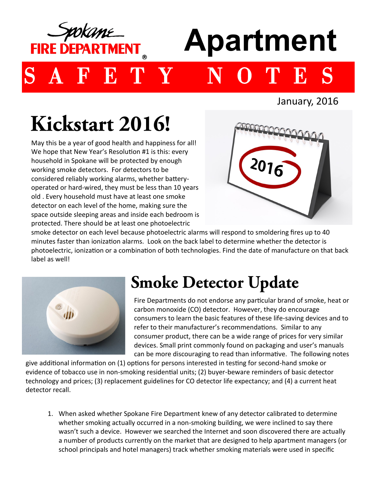

## **Apartment**

E T Y N O T E S

January, 2016

## Kickstart 2016!

May this be a year of good health and happiness for all! We hope that New Year's Resolution #1 is this: every household in Spokane will be protected by enough working smoke detectors. For detectors to be considered reliably working alarms, whether batteryoperated or hard-wired, they must be less than 10 years old . Every household must have at least one smoke detector on each level of the home, making sure the space outside sleeping areas and inside each bedroom is protected. There should be at least one photoelectric



smoke detector on each level because photoelectric alarms will respond to smoldering fires up to 40 minutes faster than ionization alarms. Look on the back label to determine whether the detector is photoelectric, ionization or a combination of both technologies. Find the date of manufacture on that back label as well!



## **Smoke Detector Update**

Fire Departments do not endorse any particular brand of smoke, heat or carbon monoxide (CO) detector. However, they do encourage consumers to learn the basic features of these life-saving devices and to refer to their manufacturer's recommendations. Similar to any consumer product, there can be a wide range of prices for very similar devices. Small print commonly found on packaging and user's manuals can be more discouraging to read than informative. The following notes

give additional information on (1) options for persons interested in testing for second-hand smoke or evidence of tobacco use in non-smoking residential units; (2) buyer-beware reminders of basic detector technology and prices; (3) replacement guidelines for CO detector life expectancy; and (4) a current heat detector recall.

1. When asked whether Spokane Fire Department knew of any detector calibrated to determine whether smoking actually occurred in a non-smoking building, we were inclined to say there wasn't such a device. However we searched the Internet and soon discovered there are actually a number of products currently on the market that are designed to help apartment managers (or school principals and hotel managers) track whether smoking materials were used in specific